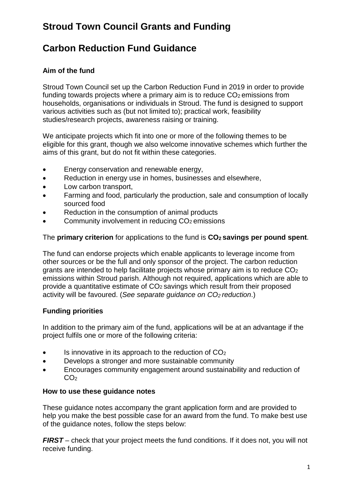# **Stroud Town Council Grants and Funding**

## **Carbon Reduction Fund Guidance**

### **Aim of the fund**

Stroud Town Council set up the Carbon Reduction Fund in 2019 in order to provide funding towards projects where a primary aim is to reduce  $CO<sub>2</sub>$  emissions from households, organisations or individuals in Stroud. The fund is designed to support various activities such as (but not limited to); practical work, feasibility studies/research projects, awareness raising or training.

We anticipate projects which fit into one or more of the following themes to be eligible for this grant, though we also welcome innovative schemes which further the aims of this grant, but do not fit within these categories.

- Energy conservation and renewable energy,
- Reduction in energy use in homes, businesses and elsewhere.
- Low carbon transport,
- Farming and food, particularly the production, sale and consumption of locally sourced food
- Reduction in the consumption of animal products
- Community involvement in reducing CO<sub>2</sub> emissions

The **primary criterion** for applications to the fund is **CO2 savings per pound spent**.

The fund can endorse projects which enable applicants to leverage income from other sources or be the full and only sponsor of the project. The carbon reduction grants are intended to help facilitate projects whose primary aim is to reduce  $CO<sub>2</sub>$ emissions within Stroud parish. Although not required, applications which are able to provide a quantitative estimate of CO2 savings which result from their proposed activity will be favoured. (*See separate guidance on CO2 reduction*.)

### **Funding priorities**

In addition to the primary aim of the fund, applications will be at an advantage if the project fulfils one or more of the following criteria:

- $\bullet$  Is innovative in its approach to the reduction of  $CO<sub>2</sub>$
- Develops a stronger and more sustainable community
- Encourages community engagement around sustainability and reduction of  $CO<sub>2</sub>$

### **How to use these guidance notes**

These guidance notes accompany the grant application form and are provided to help you make the best possible case for an award from the fund. To make best use of the guidance notes, follow the steps below:

*FIRST* – check that your project meets the fund conditions. If it does not, you will not receive funding.